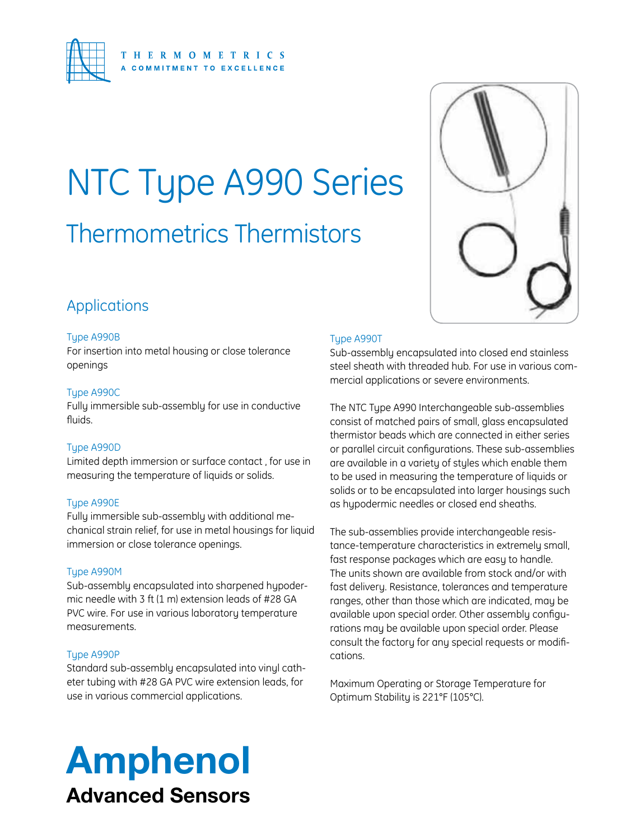

# Thermometrics Thermistors NTC Type A990 Series

# Applications

#### Type A990B

For insertion into metal housing or close tolerance openings

#### Type A990C

Fully immersible sub-assembly for use in conductive fluids.

#### Type A990D

Limited depth immersion or surface contact , for use in measuring the temperature of liquids or solids.

#### Type A990E

Fully immersible sub-assembly with additional mechanical strain relief, for use in metal housings for liquid immersion or close tolerance openings.

#### Type A990M

Sub-assembly encapsulated into sharpened hypodermic needle with 3 ft (1 m) extension leads of #28 GA PVC wire. For use in various laboratory temperature measurements.

#### Type A990P

Standard sub-assembly encapsulated into vinyl catheter tubing with #28 GA PVC wire extension leads, for use in various commercial applications.



#### Type A990T

Sub-assembly encapsulated into closed end stainless steel sheath with threaded hub. For use in various commercial applications or severe environments.

The NTC Type A990 Interchangeable sub-assemblies consist of matched pairs of small, glass encapsulated thermistor beads which are connected in either series or parallel circuit configurations. These sub-assemblies are available in a variety of styles which enable them to be used in measuring the temperature of liquids or solids or to be encapsulated into larger housings such as hypodermic needles or closed end sheaths.

The sub-assemblies provide interchangeable resistance-temperature characteristics in extremely small, fast response packages which are easy to handle. The units shown are available from stock and/or with fast delivery. Resistance, tolerances and temperature ranges, other than those which are indicated, may be available upon special order. Other assembly configurations may be available upon special order. Please consult the factory for any special requests or modifications.

Maximum Operating or Storage Temperature for Optimum Stability is 221°F (105°C).

# Amphenol Advanced Sensors